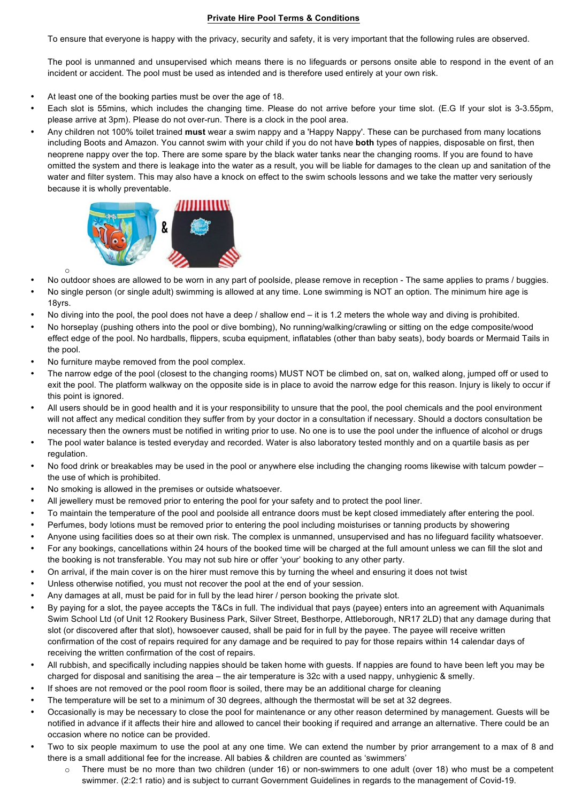## **Private Hire Pool Terms & Conditions**

To ensure that everyone is happy with the privacy, security and safety, it is very important that the following rules are observed.

The pool is unmanned and unsupervised which means there is no lifeguards or persons onsite able to respond in the event of an incident or accident. The pool must be used as intended and is therefore used entirely at your own risk.

- At least one of the booking parties must be over the age of 18.
- Each slot is 55mins, which includes the changing time. Please do not arrive before your time slot. (E.G If your slot is 3-3.55pm, please arrive at 3pm). Please do not over-run. There is a clock in the pool area.
- Any children not 100% toilet trained **must** wear a swim nappy and a 'Happy Nappy'. These can be purchased from many locations including Boots and Amazon. You cannot swim with your child if you do not have **both** types of nappies, disposable on first, then neoprene nappy over the top. There are some spare by the black water tanks near the changing rooms. If you are found to have omitted the system and there is leakage into the water as a result, you will be liable for damages to the clean up and sanitation of the water and filter system. This may also have a knock on effect to the swim schools lessons and we take the matter very seriously because it is wholly preventable.



- o • No outdoor shoes are allowed to be worn in any part of poolside, please remove in reception - The same applies to prams / buggies.
- No single person (or single adult) swimming is allowed at any time. Lone swimming is NOT an option. The minimum hire age is 18yrs.
- No diving into the pool, the pool does not have a deep / shallow end it is 1.2 meters the whole way and diving is prohibited.
- No horseplay (pushing others into the pool or dive bombing), No running/walking/crawling or sitting on the edge composite/wood effect edge of the pool. No hardballs, flippers, scuba equipment, inflatables (other than baby seats), body boards or Mermaid Tails in the pool.
- No furniture maybe removed from the pool complex.
- The narrow edge of the pool (closest to the changing rooms) MUST NOT be climbed on, sat on, walked along, jumped off or used to exit the pool. The platform walkway on the opposite side is in place to avoid the narrow edge for this reason. Injury is likely to occur if this point is ignored.
- All users should be in good health and it is your responsibility to unsure that the pool, the pool chemicals and the pool environment will not affect any medical condition they suffer from by your doctor in a consultation if necessary. Should a doctors consultation be necessary then the owners must be notified in writing prior to use. No one is to use the pool under the influence of alcohol or drugs
- The pool water balance is tested everyday and recorded. Water is also laboratory tested monthly and on a quartile basis as per regulation.
- No food drink or breakables may be used in the pool or anywhere else including the changing rooms likewise with talcum powder the use of which is prohibited.
- No smoking is allowed in the premises or outside whatsoever.
- All jewellery must be removed prior to entering the pool for your safety and to protect the pool liner.
- To maintain the temperature of the pool and poolside all entrance doors must be kept closed immediately after entering the pool.
- Perfumes, body lotions must be removed prior to entering the pool including moisturises or tanning products by showering
- Anyone using facilities does so at their own risk. The complex is unmanned, unsupervised and has no lifeguard facility whatsoever.
- For any bookings, cancellations within 24 hours of the booked time will be charged at the full amount unless we can fill the slot and the booking is not transferable. You may not sub hire or offer 'your' booking to any other party.
- On arrival, if the main cover is on the hirer must remove this by turning the wheel and ensuring it does not twist
- Unless otherwise notified, you must not recover the pool at the end of your session.
- Any damages at all, must be paid for in full by the lead hirer / person booking the private slot.
- By paying for a slot, the payee accepts the T&Cs in full. The individual that pays (payee) enters into an agreement with Aquanimals Swim School Ltd (of Unit 12 Rookery Business Park, Silver Street, Besthorpe, Attleborough, NR17 2LD) that any damage during that slot (or discovered after that slot), howsoever caused, shall be paid for in full by the payee. The payee will receive written confirmation of the cost of repairs required for any damage and be required to pay for those repairs within 14 calendar days of receiving the written confirmation of the cost of repairs.
- All rubbish, and specifically including nappies should be taken home with guests. If nappies are found to have been left you may be charged for disposal and sanitising the area – the air temperature is 32c with a used nappy, unhygienic & smelly.
- If shoes are not removed or the pool room floor is soiled, there may be an additional charge for cleaning
- The temperature will be set to a minimum of 30 degrees, although the thermostat will be set at 32 degrees.
- Occasionally is may be necessary to close the pool for maintenance or any other reason determined by management. Guests will be notified in advance if it affects their hire and allowed to cancel their booking if required and arrange an alternative. There could be an occasion where no notice can be provided.
- Two to six people maximum to use the pool at any one time. We can extend the number by prior arrangement to a max of 8 and there is a small additional fee for the increase. All babies & children are counted as 'swimmers'
	- o There must be no more than two children (under 16) or non-swimmers to one adult (over 18) who must be a competent swimmer. (2:2:1 ratio) and is subject to currant Government Guidelines in regards to the management of Covid-19.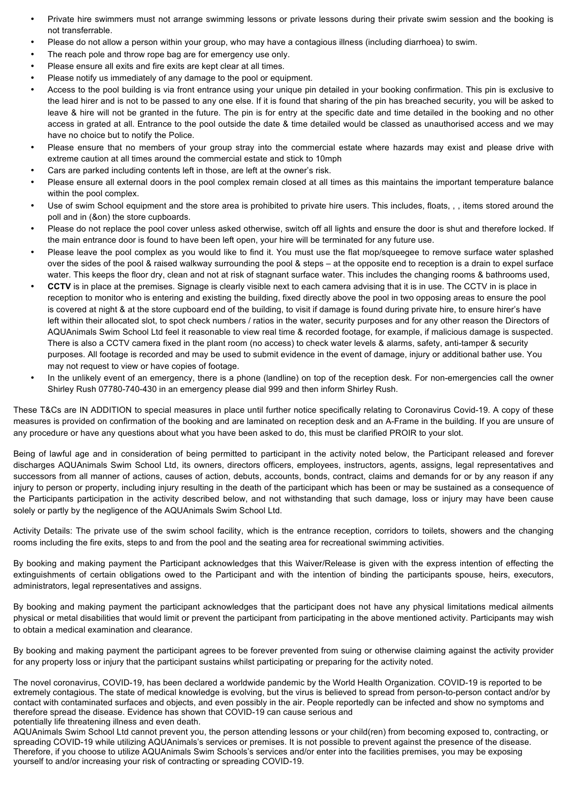- Private hire swimmers must not arrange swimming lessons or private lessons during their private swim session and the booking is not transferrable.
- Please do not allow a person within your group, who may have a contagious illness (including diarrhoea) to swim.
- The reach pole and throw rope bag are for emergency use only.
- Please ensure all exits and fire exits are kept clear at all times.
- Please notify us immediately of any damage to the pool or equipment.
- Access to the pool building is via front entrance using your unique pin detailed in your booking confirmation. This pin is exclusive to the lead hirer and is not to be passed to any one else. If it is found that sharing of the pin has breached security, you will be asked to leave & hire will not be granted in the future. The pin is for entry at the specific date and time detailed in the booking and no other access in grated at all. Entrance to the pool outside the date & time detailed would be classed as unauthorised access and we may have no choice but to notify the Police.
- Please ensure that no members of your group stray into the commercial estate where hazards may exist and please drive with extreme caution at all times around the commercial estate and stick to 10mph
- Cars are parked including contents left in those, are left at the owner's risk.
- Please ensure all external doors in the pool complex remain closed at all times as this maintains the important temperature balance within the pool complex.
- Use of swim School equipment and the store area is prohibited to private hire users. This includes, floats, , , items stored around the poll and in (&on) the store cupboards.
- Please do not replace the pool cover unless asked otherwise, switch off all lights and ensure the door is shut and therefore locked. If the main entrance door is found to have been left open, your hire will be terminated for any future use.
- Please leave the pool complex as you would like to find it. You must use the flat mop/squeegee to remove surface water splashed over the sides of the pool & raised walkway surrounding the pool & steps – at the opposite end to reception is a drain to expel surface water. This keeps the floor dry, clean and not at risk of stagnant surface water. This includes the changing rooms & bathrooms used,
- **CCTV** is in place at the premises. Signage is clearly visible next to each camera advising that it is in use. The CCTV in is place in reception to monitor who is entering and existing the building, fixed directly above the pool in two opposing areas to ensure the pool is covered at night & at the store cupboard end of the building, to visit if damage is found during private hire, to ensure hirer's have left within their allocated slot, to spot check numbers / ratios in the water, security purposes and for any other reason the Directors of AQUAnimals Swim School Ltd feel it reasonable to view real time & recorded footage, for example, if malicious damage is suspected. There is also a CCTV camera fixed in the plant room (no access) to check water levels & alarms, safety, anti-tamper & security purposes. All footage is recorded and may be used to submit evidence in the event of damage, injury or additional bather use. You may not request to view or have copies of footage.
- In the unlikely event of an emergency, there is a phone (landline) on top of the reception desk. For non-emergencies call the owner Shirley Rush 07780-740-430 in an emergency please dial 999 and then inform Shirley Rush.

These T&Cs are IN ADDITION to special measures in place until further notice specifically relating to Coronavirus Covid-19. A copy of these measures is provided on confirmation of the booking and are laminated on reception desk and an A-Frame in the building. If you are unsure of any procedure or have any questions about what you have been asked to do, this must be clarified PROIR to your slot.

Being of lawful age and in consideration of being permitted to participant in the activity noted below, the Participant released and forever discharges AQUAnimals Swim School Ltd, its owners, directors officers, employees, instructors, agents, assigns, legal representatives and successors from all manner of actions, causes of action, debuts, accounts, bonds, contract, claims and demands for or by any reason if any injury to person or property, including injury resulting in the death of the participant which has been or may be sustained as a consequence of the Participants participation in the activity described below, and not withstanding that such damage, loss or injury may have been cause solely or partly by the negligence of the AQUAnimals Swim School Ltd.

Activity Details: The private use of the swim school facility, which is the entrance reception, corridors to toilets, showers and the changing rooms including the fire exits, steps to and from the pool and the seating area for recreational swimming activities.

By booking and making payment the Participant acknowledges that this Waiver/Release is given with the express intention of effecting the extinguishments of certain obligations owed to the Participant and with the intention of binding the participants spouse, heirs, executors, administrators, legal representatives and assigns.

By booking and making payment the participant acknowledges that the participant does not have any physical limitations medical ailments physical or metal disabilities that would limit or prevent the participant from participating in the above mentioned activity. Participants may wish to obtain a medical examination and clearance.

By booking and making payment the participant agrees to be forever prevented from suing or otherwise claiming against the activity provider for any property loss or injury that the participant sustains whilst participating or preparing for the activity noted.

The novel coronavirus, COVID-19, has been declared a worldwide pandemic by the World Health Organization. COVID-19 is reported to be extremely contagious. The state of medical knowledge is evolving, but the virus is believed to spread from person-to-person contact and/or by contact with contaminated surfaces and objects, and even possibly in the air. People reportedly can be infected and show no symptoms and therefore spread the disease. Evidence has shown that COVID-19 can cause serious and potentially life threatening illness and even death.

AQUAnimals Swim School Ltd cannot prevent you, the person attending lessons or your child(ren) from becoming exposed to, contracting, or spreading COVID-19 while utilizing AQUAnimals's services or premises. It is not possible to prevent against the presence of the disease. Therefore, if you choose to utilize AQUAnimals Swim Schools's services and/or enter into the facilities premises, you may be exposing yourself to and/or increasing your risk of contracting or spreading COVID-19.